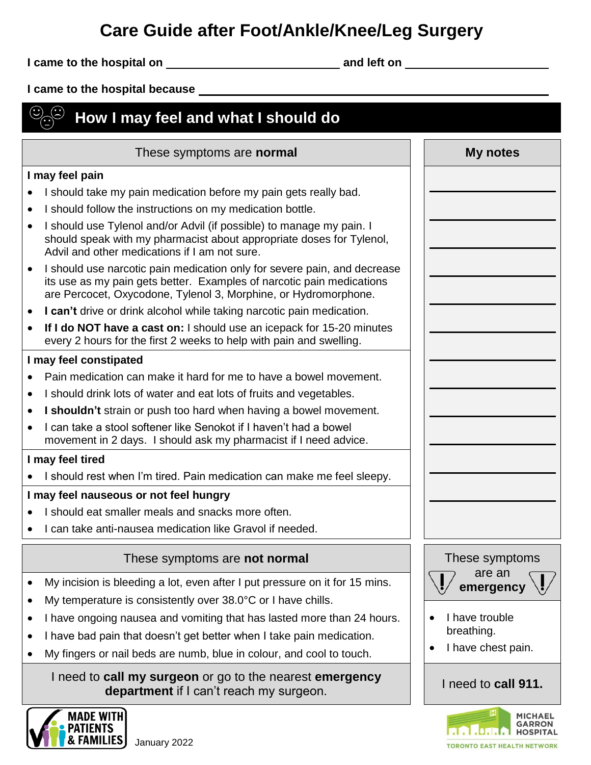## **Care Guide after Foot/Ankle/Knee/Leg Surgery**

**I came to the hospital on and left on** 

**I came to the hospital because** 

## $\circledS$  How I may feel and what I should do  $\odot$

| These symptoms are <b>normal</b>                                                                                                                                                                                                                                                                                                                                                                                                                                                                                                                                                                                                                                                                                                                                          | <b>My notes</b>                                                                                                                                                           |
|---------------------------------------------------------------------------------------------------------------------------------------------------------------------------------------------------------------------------------------------------------------------------------------------------------------------------------------------------------------------------------------------------------------------------------------------------------------------------------------------------------------------------------------------------------------------------------------------------------------------------------------------------------------------------------------------------------------------------------------------------------------------------|---------------------------------------------------------------------------------------------------------------------------------------------------------------------------|
| I may feel pain                                                                                                                                                                                                                                                                                                                                                                                                                                                                                                                                                                                                                                                                                                                                                           |                                                                                                                                                                           |
| I should take my pain medication before my pain gets really bad.<br>I should follow the instructions on my medication bottle.<br>$\bullet$<br>I should use Tylenol and/or Advil (if possible) to manage my pain. I<br>$\bullet$<br>should speak with my pharmacist about appropriate doses for Tylenol,<br>Advil and other medications if I am not sure.<br>I should use narcotic pain medication only for severe pain, and decrease<br>$\bullet$<br>its use as my pain gets better. Examples of narcotic pain medications<br>are Percocet, Oxycodone, Tylenol 3, Morphine, or Hydromorphone.<br>I can't drive or drink alcohol while taking narcotic pain medication.<br>$\bullet$<br>If I do NOT have a cast on: I should use an icepack for 15-20 minutes<br>$\bullet$ |                                                                                                                                                                           |
| every 2 hours for the first 2 weeks to help with pain and swelling.                                                                                                                                                                                                                                                                                                                                                                                                                                                                                                                                                                                                                                                                                                       |                                                                                                                                                                           |
| I may feel constipated<br>Pain medication can make it hard for me to have a bowel movement.<br>I should drink lots of water and eat lots of fruits and vegetables.<br>$\bullet$<br>I shouldn't strain or push too hard when having a bowel movement.<br>I can take a stool softener like Senokot if I haven't had a bowel<br>movement in 2 days. I should ask my pharmacist if I need advice.<br>I may feel tired<br>I should rest when I'm tired. Pain medication can make me feel sleepy.<br>I may feel nauseous or not feel hungry<br>I should eat smaller meals and snacks more often.<br>I can take anti-nausea medication like Gravol if needed.                                                                                                                    |                                                                                                                                                                           |
| These symptoms are not normal<br>My incision is bleeding a lot, even after I put pressure on it for 15 mins.<br>$\bullet$<br>My temperature is consistently over 38.0°C or I have chills.<br>$\bullet$<br>I have ongoing nausea and vomiting that has lasted more than 24 hours.<br>٠<br>I have bad pain that doesn't get better when I take pain medication.<br>My fingers or nail beds are numb, blue in colour, and cool to touch.                                                                                                                                                                                                                                                                                                                                     | These symptoms<br>are an<br>$\mathbf{L}$<br>$\blacksquare$<br>emergency $\langle \cdot, \cdot \rangle$<br>I have trouble<br>breathing.<br>I have chest pain.<br>$\bullet$ |
| I need to call my surgeon or go to the nearest emergency<br>department if I can't reach my surgeon.                                                                                                                                                                                                                                                                                                                                                                                                                                                                                                                                                                                                                                                                       | I need to call 911.                                                                                                                                                       |



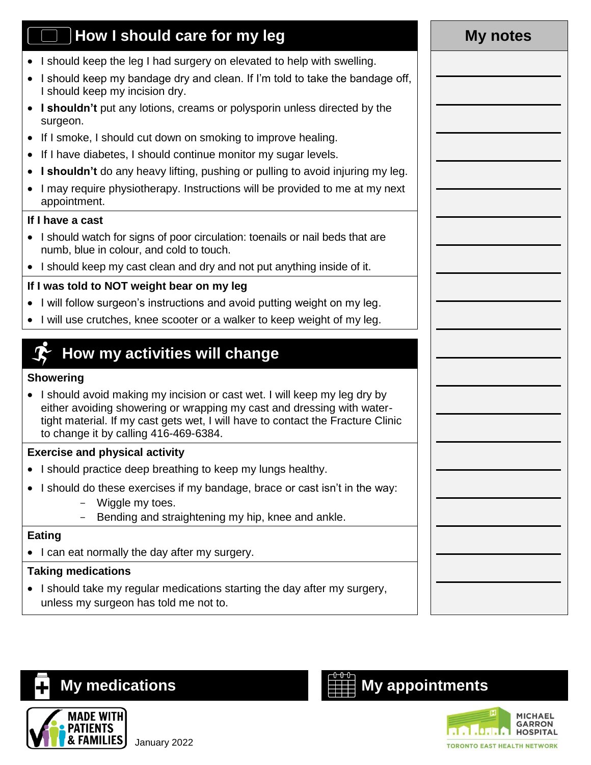## **How I should care for my leg <b>My** notes

- I should keep the leg I had surgery on elevated to help with swelling.
- I should keep my bandage dry and clean. If I'm told to take the bandage off, I should keep my incision dry.
- **I shouldn't** put any lotions, creams or polysporin unless directed by the surgeon.
- If I smoke, I should cut down on smoking to improve healing.
- If I have diabetes, I should continue monitor my sugar levels.
- **I shouldn't** do any heavy lifting, pushing or pulling to avoid injuring my leg.
- I may require physiotherapy. Instructions will be provided to me at my next appointment.

#### **If I have a cast**

- I should watch for signs of poor circulation: toenails or nail beds that are numb, blue in colour, and cold to touch.
- I should keep my cast clean and dry and not put anything inside of it.

### **If I was told to NOT weight bear on my leg**

- I will follow surgeon's instructions and avoid putting weight on my leg.
- I will use crutches, knee scooter or a walker to keep weight of my leg.

## **How my activities will change**

#### **Showering**

• I should avoid making my incision or cast wet. I will keep my leg dry by either avoiding showering or wrapping my cast and dressing with watertight material. If my cast gets wet, I will have to contact the Fracture Clinic to change it by calling 416-469-6384.

#### **Exercise and physical activity**

- I should practice deep breathing to keep my lungs healthy.
- I should do these exercises if my bandage, brace or cast isn't in the way:
	- Wiggle my toes.
	- Bending and straightening my hip, knee and ankle.

#### **Eating**

• I can eat normally the day after my surgery.

#### **Taking medications**

• I should take my regular medications starting the day after my surgery, unless my surgeon has told me not to.



# **My medications My appointments**